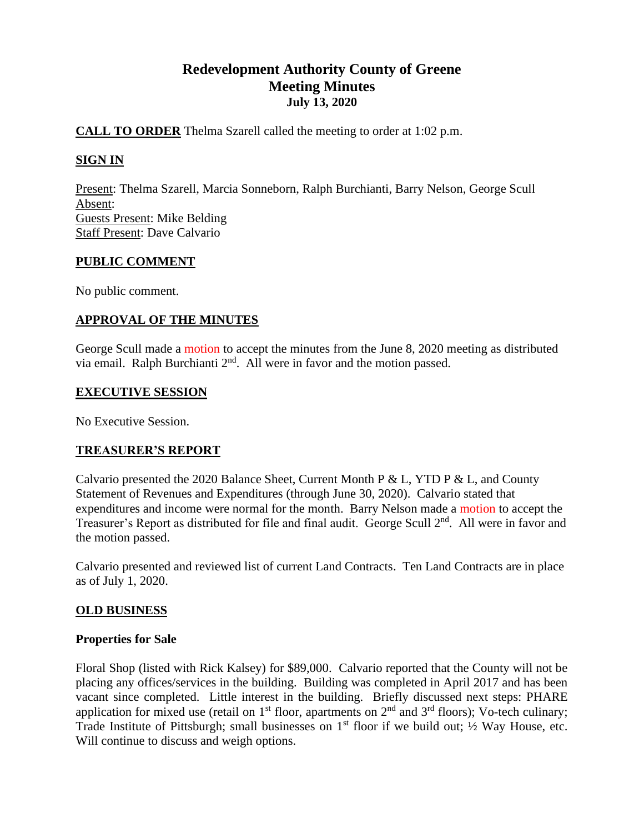# **Redevelopment Authority County of Greene Meeting Minutes July 13, 2020**

## **CALL TO ORDER** Thelma Szarell called the meeting to order at 1:02 p.m.

## **SIGN IN**

Present: Thelma Szarell, Marcia Sonneborn, Ralph Burchianti, Barry Nelson, George Scull Absent: Guests Present: Mike Belding Staff Present: Dave Calvario

#### **PUBLIC COMMENT**

No public comment.

## **APPROVAL OF THE MINUTES**

George Scull made a motion to accept the minutes from the June 8, 2020 meeting as distributed via email. Ralph Burchianti  $2<sup>nd</sup>$ . All were in favor and the motion passed.

#### **EXECUTIVE SESSION**

No Executive Session.

#### **TREASURER'S REPORT**

Calvario presented the 2020 Balance Sheet, Current Month P & L, YTD P & L, and County Statement of Revenues and Expenditures (through June 30, 2020). Calvario stated that expenditures and income were normal for the month. Barry Nelson made a motion to accept the Treasurer's Report as distributed for file and final audit. George Scull 2<sup>nd</sup>. All were in favor and the motion passed.

Calvario presented and reviewed list of current Land Contracts. Ten Land Contracts are in place as of July 1, 2020.

#### **OLD BUSINESS**

#### **Properties for Sale**

Floral Shop (listed with Rick Kalsey) for \$89,000. Calvario reported that the County will not be placing any offices/services in the building. Building was completed in April 2017 and has been vacant since completed. Little interest in the building. Briefly discussed next steps: PHARE application for mixed use (retail on  $1<sup>st</sup>$  floor, apartments on  $2<sup>nd</sup>$  and  $3<sup>rd</sup>$  floors); Vo-tech culinary; Trade Institute of Pittsburgh; small businesses on  $1<sup>st</sup>$  floor if we build out;  $\frac{1}{2}$  Way House, etc. Will continue to discuss and weigh options.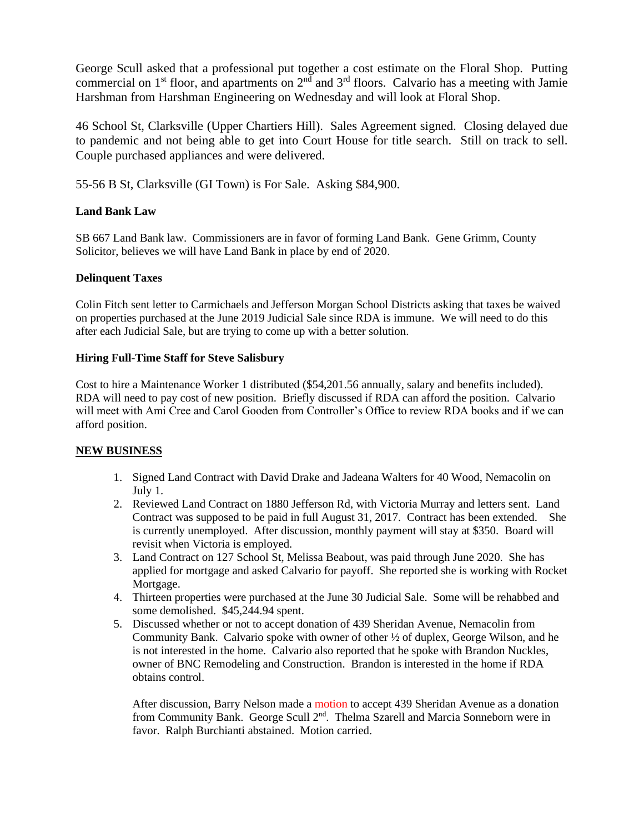George Scull asked that a professional put together a cost estimate on the Floral Shop. Putting commercial on  $1<sup>st</sup>$  floor, and apartments on  $2<sup>nd</sup>$  and  $3<sup>rd</sup>$  floors. Calvario has a meeting with Jamie Harshman from Harshman Engineering on Wednesday and will look at Floral Shop.

46 School St, Clarksville (Upper Chartiers Hill). Sales Agreement signed. Closing delayed due to pandemic and not being able to get into Court House for title search. Still on track to sell. Couple purchased appliances and were delivered.

55-56 B St, Clarksville (GI Town) is For Sale. Asking \$84,900.

#### **Land Bank Law**

SB 667 Land Bank law. Commissioners are in favor of forming Land Bank. Gene Grimm, County Solicitor, believes we will have Land Bank in place by end of 2020.

#### **Delinquent Taxes**

Colin Fitch sent letter to Carmichaels and Jefferson Morgan School Districts asking that taxes be waived on properties purchased at the June 2019 Judicial Sale since RDA is immune. We will need to do this after each Judicial Sale, but are trying to come up with a better solution.

#### **Hiring Full-Time Staff for Steve Salisbury**

Cost to hire a Maintenance Worker 1 distributed (\$54,201.56 annually, salary and benefits included). RDA will need to pay cost of new position. Briefly discussed if RDA can afford the position. Calvario will meet with Ami Cree and Carol Gooden from Controller's Office to review RDA books and if we can afford position.

#### **NEW BUSINESS**

- 1. Signed Land Contract with David Drake and Jadeana Walters for 40 Wood, Nemacolin on July 1.
- 2. Reviewed Land Contract on 1880 Jefferson Rd, with Victoria Murray and letters sent. Land Contract was supposed to be paid in full August 31, 2017. Contract has been extended. She is currently unemployed. After discussion, monthly payment will stay at \$350. Board will revisit when Victoria is employed.
- 3. Land Contract on 127 School St, Melissa Beabout, was paid through June 2020. She has applied for mortgage and asked Calvario for payoff. She reported she is working with Rocket Mortgage.
- 4. Thirteen properties were purchased at the June 30 Judicial Sale. Some will be rehabbed and some demolished. \$45,244.94 spent.
- 5. Discussed whether or not to accept donation of 439 Sheridan Avenue, Nemacolin from Community Bank. Calvario spoke with owner of other ½ of duplex, George Wilson, and he is not interested in the home. Calvario also reported that he spoke with Brandon Nuckles, owner of BNC Remodeling and Construction. Brandon is interested in the home if RDA obtains control.

After discussion, Barry Nelson made a motion to accept 439 Sheridan Avenue as a donation from Community Bank. George Scull 2<sup>nd</sup>. Thelma Szarell and Marcia Sonneborn were in favor. Ralph Burchianti abstained. Motion carried.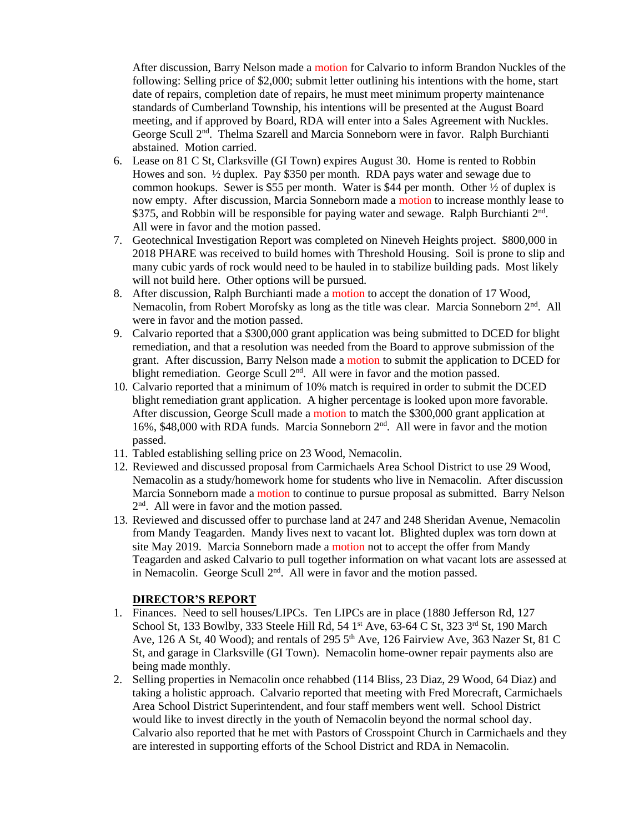After discussion, Barry Nelson made a motion for Calvario to inform Brandon Nuckles of the following: Selling price of \$2,000; submit letter outlining his intentions with the home, start date of repairs, completion date of repairs, he must meet minimum property maintenance standards of Cumberland Township, his intentions will be presented at the August Board meeting, and if approved by Board, RDA will enter into a Sales Agreement with Nuckles. George Scull 2nd. Thelma Szarell and Marcia Sonneborn were in favor. Ralph Burchianti abstained. Motion carried.

- 6. Lease on 81 C St, Clarksville (GI Town) expires August 30. Home is rented to Robbin Howes and son. ½ duplex. Pay \$350 per month. RDA pays water and sewage due to common hookups. Sewer is \$55 per month. Water is \$44 per month. Other  $\frac{1}{2}$  of duplex is now empty. After discussion, Marcia Sonneborn made a motion to increase monthly lease to \$375, and Robbin will be responsible for paying water and sewage. Ralph Burchianti 2<sup>nd</sup>. All were in favor and the motion passed.
- 7. Geotechnical Investigation Report was completed on Nineveh Heights project. \$800,000 in 2018 PHARE was received to build homes with Threshold Housing. Soil is prone to slip and many cubic yards of rock would need to be hauled in to stabilize building pads. Most likely will not build here. Other options will be pursued.
- 8. After discussion, Ralph Burchianti made a motion to accept the donation of 17 Wood, Nemacolin, from Robert Morofsky as long as the title was clear. Marcia Sonneborn 2<sup>nd</sup>. All were in favor and the motion passed.
- 9. Calvario reported that a \$300,000 grant application was being submitted to DCED for blight remediation, and that a resolution was needed from the Board to approve submission of the grant. After discussion, Barry Nelson made a motion to submit the application to DCED for blight remediation. George Scull 2<sup>nd</sup>. All were in favor and the motion passed.
- 10. Calvario reported that a minimum of 10% match is required in order to submit the DCED blight remediation grant application. A higher percentage is looked upon more favorable. After discussion, George Scull made a motion to match the \$300,000 grant application at 16%, \$48,000 with RDA funds. Marcia Sonneborn  $2<sup>nd</sup>$ . All were in favor and the motion passed.
- 11. Tabled establishing selling price on 23 Wood, Nemacolin.
- 12. Reviewed and discussed proposal from Carmichaels Area School District to use 29 Wood, Nemacolin as a study/homework home for students who live in Nemacolin. After discussion Marcia Sonneborn made a motion to continue to pursue proposal as submitted. Barry Nelson 2<sup>nd</sup>. All were in favor and the motion passed.
- 13. Reviewed and discussed offer to purchase land at 247 and 248 Sheridan Avenue, Nemacolin from Mandy Teagarden. Mandy lives next to vacant lot. Blighted duplex was torn down at site May 2019. Marcia Sonneborn made a motion not to accept the offer from Mandy Teagarden and asked Calvario to pull together information on what vacant lots are assessed at in Nemacolin. George Scull 2<sup>nd</sup>. All were in favor and the motion passed.

#### **DIRECTOR'S REPORT**

- 1. Finances. Need to sell houses/LIPCs. Ten LIPCs are in place (1880 Jefferson Rd, 127 School St, 133 Bowlby, 333 Steele Hill Rd, 54 1<sup>st</sup> Ave, 63-64 C St, 323 3<sup>rd</sup> St, 190 March Ave, 126 A St, 40 Wood); and rentals of 295  $5<sup>th</sup>$  Ave, 126 Fairview Ave, 363 Nazer St, 81 C St, and garage in Clarksville (GI Town). Nemacolin home-owner repair payments also are being made monthly.
- 2. Selling properties in Nemacolin once rehabbed (114 Bliss, 23 Diaz, 29 Wood, 64 Diaz) and taking a holistic approach. Calvario reported that meeting with Fred Morecraft, Carmichaels Area School District Superintendent, and four staff members went well. School District would like to invest directly in the youth of Nemacolin beyond the normal school day. Calvario also reported that he met with Pastors of Crosspoint Church in Carmichaels and they are interested in supporting efforts of the School District and RDA in Nemacolin.